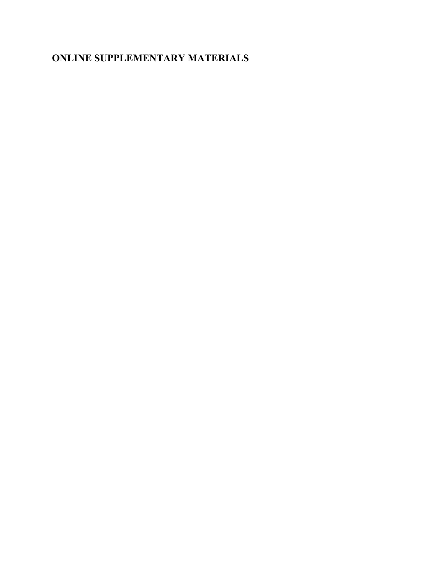## **ONLINE SUPPLEMENTARY MATERIALS**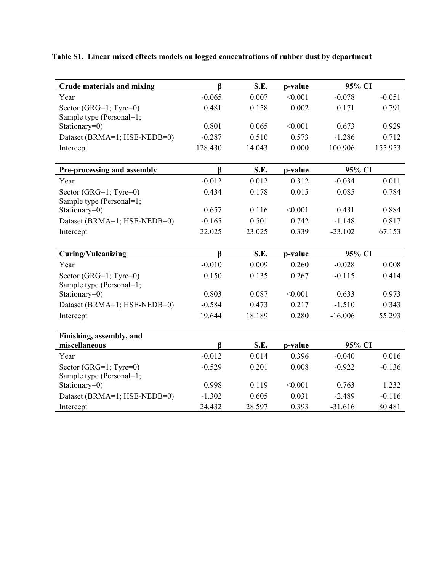| <b>Crude materials and mixing</b> | $\beta$  | S.E.   | p-value | 95% CI    |          |
|-----------------------------------|----------|--------|---------|-----------|----------|
| Year                              | $-0.065$ | 0.007  | < 0.001 | $-0.078$  | $-0.051$ |
| Sector (GRG=1; Tyre=0)            | 0.481    | 0.158  | 0.002   | 0.171     | 0.791    |
| Sample type (Personal=1;          |          |        |         |           |          |
| Stationary=0)                     | 0.801    | 0.065  | < 0.001 | 0.673     | 0.929    |
| Dataset (BRMA=1; HSE-NEDB=0)      | $-0.287$ | 0.510  | 0.573   | $-1.286$  | 0.712    |
| Intercept                         | 128.430  | 14.043 | 0.000   | 100.906   | 155.953  |
| Pre-processing and assembly       | $\beta$  | S.E.   | p-value | 95% CI    |          |
| Year                              | $-0.012$ | 0.012  | 0.312   | $-0.034$  | 0.011    |
| Sector (GRG=1; Tyre=0)            | 0.434    | 0.178  | 0.015   | 0.085     | 0.784    |
| Sample type (Personal=1;          |          |        |         |           |          |
| Stationary=0)                     | 0.657    | 0.116  | < 0.001 | 0.431     | 0.884    |
| Dataset (BRMA=1; HSE-NEDB=0)      | $-0.165$ | 0.501  | 0.742   | $-1.148$  | 0.817    |
| Intercept                         | 22.025   | 23.025 | 0.339   | $-23.102$ | 67.153   |
| <b>Curing/Vulcanizing</b>         | $\beta$  | S.E.   | p-value | 95% CI    |          |
| Year                              | $-0.010$ | 0.009  | 0.260   | $-0.028$  | 0.008    |
| Sector (GRG=1; Tyre=0)            | 0.150    | 0.135  | 0.267   | $-0.115$  | 0.414    |
| Sample type (Personal=1;          |          |        |         |           |          |
| Stationary=0)                     | 0.803    | 0.087  | < 0.001 | 0.633     | 0.973    |
| Dataset (BRMA=1; HSE-NEDB=0)      | $-0.584$ | 0.473  | 0.217   | $-1.510$  | 0.343    |
| Intercept                         | 19.644   | 18.189 | 0.280   | $-16.006$ | 55.293   |
| Finishing, assembly, and          |          |        |         |           |          |
| miscellaneous                     | $\beta$  | S.E.   | p-value | 95% CI    |          |
| Year                              | $-0.012$ | 0.014  | 0.396   | $-0.040$  | 0.016    |
| Sector (GRG=1; Tyre=0)            | $-0.529$ | 0.201  | 0.008   | $-0.922$  | $-0.136$ |
| Sample type (Personal=1;          |          |        |         |           |          |
| Stationary=0)                     | 0.998    | 0.119  | < 0.001 | 0.763     | 1.232    |
| Dataset (BRMA=1; HSE-NEDB=0)      | $-1.302$ | 0.605  | 0.031   | $-2.489$  | $-0.116$ |
| Intercept                         | 24.432   | 28.597 | 0.393   | $-31.616$ | 80.481   |

**Table S1. Linear mixed effects models on logged concentrations of rubber dust by department**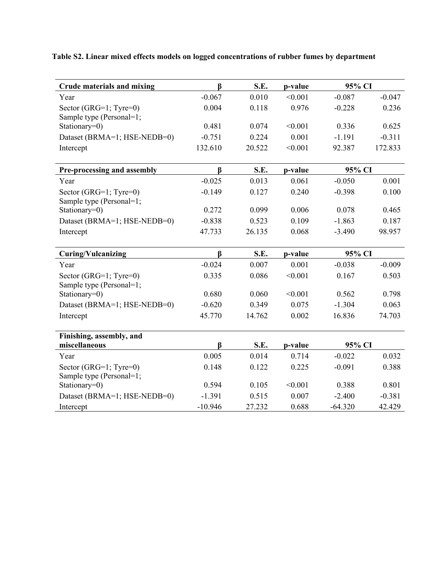| <b>Crude materials and mixing</b>                  | ß         | S.E.   | p-value | 95% CI    |          |
|----------------------------------------------------|-----------|--------|---------|-----------|----------|
| Year                                               | $-0.067$  | 0.010  | < 0.001 | $-0.087$  | $-0.047$ |
| Sector (GRG=1; Tyre=0)                             | 0.004     | 0.118  | 0.976   | $-0.228$  | 0.236    |
| Sample type (Personal=1;                           |           |        |         |           |          |
| Stationary=0)                                      | 0.481     | 0.074  | < 0.001 | 0.336     | 0.625    |
| Dataset (BRMA=1; HSE-NEDB=0)                       | $-0.751$  | 0.224  | 0.001   | $-1.191$  | $-0.311$ |
| Intercept                                          | 132.610   | 20.522 | < 0.001 | 92.387    | 172.833  |
| Pre-processing and assembly                        | ß         | S.E.   | p-value | 95% CI    |          |
| Year                                               | $-0.025$  | 0.013  | 0.061   | $-0.050$  | 0.001    |
| Sector (GRG=1; Tyre=0)<br>Sample type (Personal=1; | $-0.149$  | 0.127  | 0.240   | $-0.398$  | 0.100    |
| Stationary=0)                                      | 0.272     | 0.099  | 0.006   | 0.078     | 0.465    |
| Dataset (BRMA=1; HSE-NEDB=0)                       | $-0.838$  | 0.523  | 0.109   | $-1.863$  | 0.187    |
| Intercept                                          | 47.733    | 26.135 | 0.068   | $-3.490$  | 98.957   |
| <b>Curing/Vulcanizing</b>                          | $\bf{B}$  | S.E.   | p-value | 95% CI    |          |
| Year                                               | $-0.024$  | 0.007  | 0.001   | $-0.038$  | $-0.009$ |
| Sector (GRG=1; Tyre=0)                             | 0.335     | 0.086  | < 0.001 | 0.167     | 0.503    |
| Sample type (Personal=1;                           |           |        |         |           |          |
| Stationary=0)                                      | 0.680     | 0.060  | < 0.001 | 0.562     | 0.798    |
| Dataset (BRMA=1; HSE-NEDB=0)                       | $-0.620$  | 0.349  | 0.075   | $-1.304$  | 0.063    |
| Intercept                                          | 45.770    | 14.762 | 0.002   | 16.836    | 74.703   |
| Finishing, assembly, and                           |           |        |         |           |          |
| miscellaneous                                      | ß         | S.E.   | p-value | 95% CI    |          |
| Year                                               | 0.005     | 0.014  | 0.714   | $-0.022$  | 0.032    |
| Sector (GRG=1; Tyre=0)                             | 0.148     | 0.122  | 0.225   | $-0.091$  | 0.388    |
| Sample type (Personal=1;                           |           |        |         |           |          |
| Stationary=0)                                      | 0.594     | 0.105  | < 0.001 | 0.388     | 0.801    |
| Dataset (BRMA=1; HSE-NEDB=0)                       | $-1.391$  | 0.515  | 0.007   | $-2.400$  | $-0.381$ |
| Intercept                                          | $-10.946$ | 27.232 | 0.688   | $-64.320$ | 42.429   |

**Table S2. Linear mixed effects models on logged concentrations of rubber fumes by department**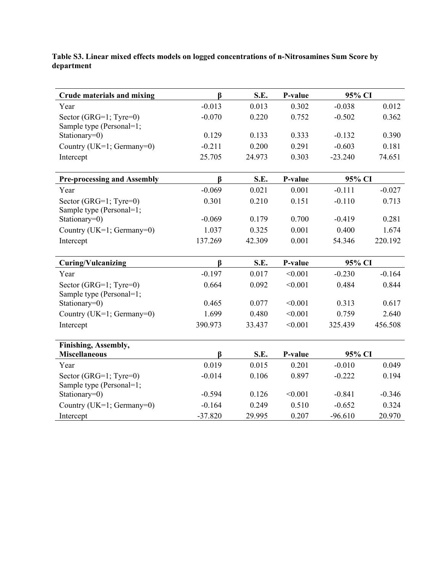**Table S3. Linear mixed effects models on logged concentrations of n-Nitrosamines Sum Score by department**

| <b>Crude materials and mixing</b>  | ß                    | S.E.   | P-value | 95% CI    |          |
|------------------------------------|----------------------|--------|---------|-----------|----------|
| Year                               | $-0.013$             | 0.013  | 0.302   | $-0.038$  | 0.012    |
| Sector (GRG=1; Tyre=0)             | $-0.070$             | 0.220  | 0.752   | $-0.502$  | 0.362    |
| Sample type (Personal=1;           |                      |        |         |           |          |
| Stationary=0)                      | 0.129                | 0.133  | 0.333   | $-0.132$  | 0.390    |
| Country (UK=1; Germany=0)          | $-0.211$             | 0.200  | 0.291   | $-0.603$  | 0.181    |
| Intercept                          | 25.705               | 24.973 | 0.303   | $-23.240$ | 74.651   |
|                                    |                      |        |         |           |          |
| <b>Pre-processing and Assembly</b> | $\boldsymbol{\beta}$ | S.E.   | P-value | 95% CI    |          |
| Year                               | $-0.069$             | 0.021  | 0.001   | $-0.111$  | $-0.027$ |
| Sector (GRG=1; Tyre=0)             | 0.301                | 0.210  | 0.151   | $-0.110$  | 0.713    |
| Sample type (Personal=1;           |                      |        |         |           |          |
| Stationary=0)                      | $-0.069$             | 0.179  | 0.700   | $-0.419$  | 0.281    |
| Country (UK=1; Germany=0)          | 1.037                | 0.325  | 0.001   | 0.400     | 1.674    |
| Intercept                          | 137.269              | 42.309 | 0.001   | 54.346    | 220.192  |
|                                    |                      |        |         |           |          |
| <b>Curing/Vulcanizing</b>          | $\bf{B}$             | S.E.   | P-value | 95% CI    |          |
| Year                               | $-0.197$             | 0.017  | < 0.001 | $-0.230$  | $-0.164$ |
| Sector (GRG=1; Tyre=0)             | 0.664                | 0.092  | < 0.001 | 0.484     | 0.844    |
| Sample type (Personal=1;           |                      |        |         |           |          |
| Stationary=0)                      | 0.465                | 0.077  | < 0.001 | 0.313     | 0.617    |
| Country (UK=1; Germany=0)          | 1.699                | 0.480  | < 0.001 | 0.759     | 2.640    |
| Intercept                          | 390.973              | 33.437 | < 0.001 | 325.439   | 456.508  |
|                                    |                      |        |         |           |          |
| Finishing, Assembly,               |                      |        |         |           |          |
| <b>Miscellaneous</b>               | ß                    | S.E.   | P-value | 95% CI    |          |
| Year                               | 0.019                | 0.015  | 0.201   | $-0.010$  | 0.049    |
| Sector (GRG=1; Tyre=0)             | $-0.014$             | 0.106  | 0.897   | $-0.222$  | 0.194    |
| Sample type (Personal=1;           |                      |        |         |           |          |
| Stationary=0)                      | $-0.594$             | 0.126  | < 0.001 | $-0.841$  | $-0.346$ |
| Country (UK=1; Germany=0)          | $-0.164$             | 0.249  | 0.510   | $-0.652$  | 0.324    |
| Intercept                          | $-37.820$            | 29.995 | 0.207   | $-96.610$ | 20.970   |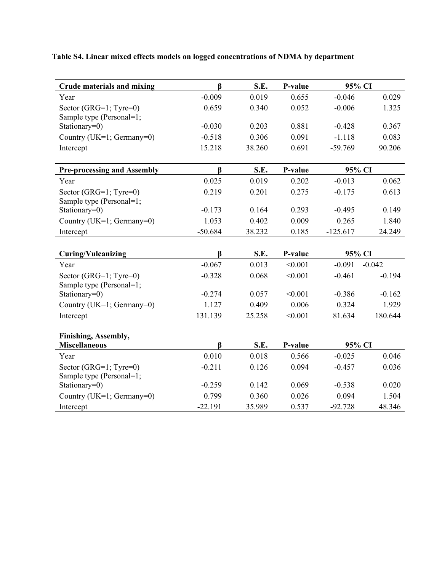**Table S4. Linear mixed effects models on logged concentrations of NDMA by department**

| <b>Crude materials and mixing</b>                  | ß                    | S.E.   | P-value | 95% CI     |          |
|----------------------------------------------------|----------------------|--------|---------|------------|----------|
| Year                                               | $-0.009$             | 0.019  | 0.655   | $-0.046$   | 0.029    |
| Sector (GRG=1; Tyre=0)                             | 0.659                | 0.340  | 0.052   | $-0.006$   | 1.325    |
| Sample type (Personal=1;                           |                      |        |         |            |          |
| Stationary=0)                                      | $-0.030$             | 0.203  | 0.881   | $-0.428$   | 0.367    |
| Country (UK=1; Germany=0)                          | $-0.518$             | 0.306  | 0.091   | $-1.118$   | 0.083    |
| Intercept                                          | 15.218               | 38.260 | 0.691   | $-59.769$  | 90.206   |
| <b>Pre-processing and Assembly</b>                 | $\boldsymbol{\beta}$ | S.E.   | P-value | 95% CI     |          |
| Year                                               | 0.025                | 0.019  | 0.202   | $-0.013$   | 0.062    |
| Sector (GRG=1; Tyre=0)<br>Sample type (Personal=1; | 0.219                | 0.201  | 0.275   | $-0.175$   | 0.613    |
| Stationary=0)                                      | $-0.173$             | 0.164  | 0.293   | $-0.495$   | 0.149    |
| Country (UK=1; Germany=0)                          | 1.053                | 0.402  | 0.009   | 0.265      | 1.840    |
| Intercept                                          | $-50.684$            | 38.232 | 0.185   | $-125.617$ | 24.249   |
|                                                    |                      |        |         |            |          |
| <b>Curing/Vulcanizing</b>                          | $\boldsymbol{\beta}$ | S.E.   | P-value | 95% CI     |          |
| Year                                               | $-0.067$             | 0.013  | < 0.001 | $-0.091$   | $-0.042$ |
| Sector (GRG=1; Tyre=0)                             | $-0.328$             | 0.068  | < 0.001 | $-0.461$   | $-0.194$ |
| Sample type (Personal=1;<br>Stationary=0)          |                      |        |         |            |          |
|                                                    |                      |        |         |            |          |
|                                                    | $-0.274$             | 0.057  | < 0.001 | $-0.386$   | $-0.162$ |
| Country (UK=1; Germany=0)                          | 1.127                | 0.409  | 0.006   | 0.324      | 1.929    |
| Intercept                                          | 131.139              | 25.258 | < 0.001 | 81.634     | 180.644  |
|                                                    |                      |        |         |            |          |
| Finishing, Assembly,<br><b>Miscellaneous</b>       | $\boldsymbol{\beta}$ | S.E.   | P-value | 95% CI     |          |
| Year                                               | 0.010                | 0.018  | 0.566   | $-0.025$   | 0.046    |
| Sector (GRG=1; Tyre=0)                             | $-0.211$             | 0.126  | 0.094   | $-0.457$   | 0.036    |
| Sample type (Personal=1;                           |                      |        |         |            |          |
| Stationary=0)                                      | $-0.259$             | 0.142  | 0.069   | $-0.538$   | 0.020    |
| Country (UK=1; Germany=0)                          | 0.799                | 0.360  | 0.026   | 0.094      | 1.504    |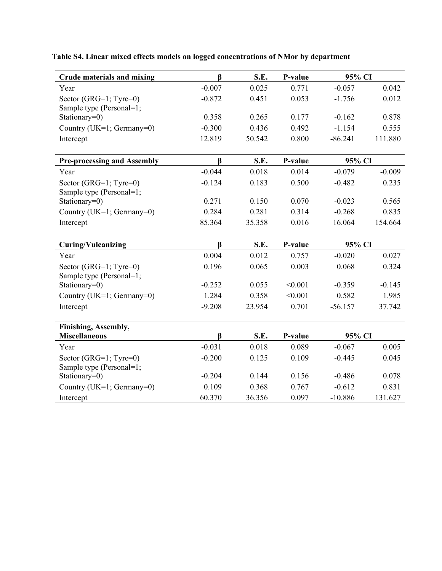| <b>Crude materials and mixing</b>                  | $\beta$      | S.E.   | P-value | 95% CI    |          |
|----------------------------------------------------|--------------|--------|---------|-----------|----------|
| Year                                               | $-0.007$     | 0.025  | 0.771   | $-0.057$  | 0.042    |
| Sector (GRG=1; Tyre=0)<br>Sample type (Personal=1; | $-0.872$     | 0.451  | 0.053   | $-1.756$  | 0.012    |
| Stationary=0)                                      | 0.358        | 0.265  | 0.177   | $-0.162$  | 0.878    |
| Country (UK=1; Germany=0)                          | $-0.300$     | 0.436  | 0.492   | $-1.154$  | 0.555    |
| Intercept                                          | 12.819       | 50.542 | 0.800   | $-86.241$ | 111.880  |
| <b>Pre-processing and Assembly</b>                 | $\beta$      | S.E.   | P-value | 95% CI    |          |
| Year                                               | $-0.044$     | 0.018  | 0.014   | $-0.079$  | $-0.009$ |
| Sector (GRG=1; Tyre=0)<br>Sample type (Personal=1; | $-0.124$     | 0.183  | 0.500   | $-0.482$  | 0.235    |
| Stationary=0)                                      | 0.271        | 0.150  | 0.070   | $-0.023$  | 0.565    |
| Country (UK=1; Germany=0)                          | 0.284        | 0.281  | 0.314   | $-0.268$  | 0.835    |
| Intercept                                          | 85.364       | 35.358 | 0.016   | 16.064    | 154.664  |
| <b>Curing/Vulcanizing</b>                          | $\beta$      | S.E.   | P-value | 95% CI    |          |
| Year                                               | 0.004        | 0.012  | 0.757   | $-0.020$  | 0.027    |
| Sector (GRG=1; Tyre=0)                             | 0.196        | 0.065  | 0.003   | 0.068     | 0.324    |
|                                                    |              |        |         |           |          |
| Sample type (Personal=1;<br>Stationary=0)          | $-0.252$     | 0.055  | < 0.001 | $-0.359$  | $-0.145$ |
| Country (UK=1; Germany=0)                          | 1.284        | 0.358  | < 0.001 | 0.582     | 1.985    |
| Intercept                                          | $-9.208$     | 23.954 | 0.701   | $-56.157$ | 37.742   |
| Finishing, Assembly,                               |              |        |         |           |          |
| <b>Miscellaneous</b>                               | $\mathbf{B}$ | S.E.   | P-value | 95% CI    |          |
| Year                                               | $-0.031$     | 0.018  | 0.089   | $-0.067$  | 0.005    |
| Sector (GRG=1; Tyre=0)<br>Sample type (Personal=1; | $-0.200$     | 0.125  | 0.109   | $-0.445$  | 0.045    |
| Stationary=0)                                      | $-0.204$     | 0.144  | 0.156   | $-0.486$  | 0.078    |
| Country (UK=1; Germany=0)                          | 0.109        | 0.368  | 0.767   | $-0.612$  | 0.831    |

**Table S4. Linear mixed effects models on logged concentrations of NMor by department**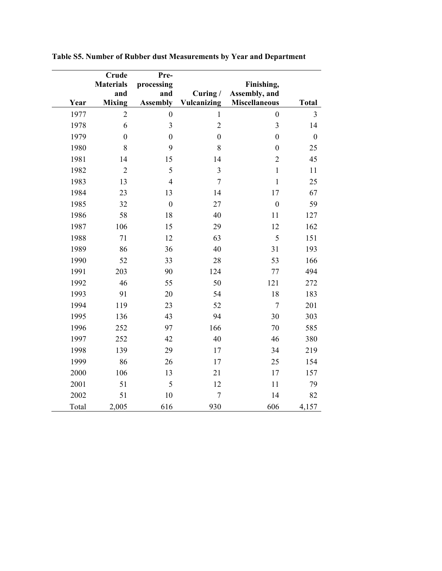| Year         | Crude<br><b>Materials</b><br>and<br><b>Mixing</b> | Pre-<br>processing<br>and<br><b>Assembly</b> | Curing/<br>Vulcanizing           | Finishing,<br>Assembly, and<br><b>Miscellaneous</b> | <b>Total</b>            |
|--------------|---------------------------------------------------|----------------------------------------------|----------------------------------|-----------------------------------------------------|-------------------------|
| 1977         | $\overline{2}$                                    |                                              | $\mathbf{1}$                     | $\boldsymbol{0}$                                    | $\overline{\mathbf{3}}$ |
|              |                                                   | $\boldsymbol{0}$<br>3                        |                                  | 3                                                   |                         |
| 1978         | 6<br>$\boldsymbol{0}$                             |                                              | $\overline{2}$<br>$\overline{0}$ | $\mathbf{0}$                                        | 14<br>$\boldsymbol{0}$  |
| 1979<br>1980 | 8                                                 | $\boldsymbol{0}$<br>9                        | 8                                | $\mathbf{0}$                                        | 25                      |
| 1981         | 14                                                | 15                                           | 14                               | $\overline{2}$                                      | 45                      |
| 1982         | $\overline{2}$                                    | 5                                            | 3                                | $\mathbf{1}$                                        | 11                      |
| 1983         | 13                                                | $\overline{4}$                               | $\tau$                           | $\mathbf{1}$                                        | 25                      |
| 1984         | 23                                                | 13                                           | 14                               | 17                                                  | 67                      |
| 1985         | 32                                                | $\boldsymbol{0}$                             | 27                               | $\boldsymbol{0}$                                    | 59                      |
| 1986         | 58                                                | 18                                           | 40                               | 11                                                  | 127                     |
| 1987         | 106                                               | 15                                           | 29                               | 12                                                  | 162                     |
| 1988         | 71                                                | 12                                           | 63                               | 5                                                   | 151                     |
| 1989         | 86                                                | 36                                           | 40                               | 31                                                  | 193                     |
| 1990         | 52                                                | 33                                           | 28                               | 53                                                  | 166                     |
| 1991         | 203                                               | 90                                           | 124                              | 77                                                  | 494                     |
| 1992         | 46                                                | 55                                           | 50                               | 121                                                 | 272                     |
| 1993         | 91                                                | 20                                           | 54                               | 18                                                  | 183                     |
| 1994         | 119                                               | 23                                           | 52                               | $\overline{7}$                                      | 201                     |
| 1995         | 136                                               | 43                                           | 94                               | 30                                                  | 303                     |
| 1996         | 252                                               | 97                                           | 166                              | 70                                                  | 585                     |
| 1997         | 252                                               | 42                                           | 40                               | 46                                                  | 380                     |
| 1998         | 139                                               | 29                                           | 17                               | 34                                                  | 219                     |
| 1999         | 86                                                | 26                                           | 17                               | 25                                                  | 154                     |
| 2000         | 106                                               | 13                                           | 21                               | 17                                                  | 157                     |
| 2001         | 51                                                | 5                                            | 12                               | 11                                                  | 79                      |
| 2002         | 51                                                | 10                                           | $\tau$                           | 14                                                  | 82                      |
| Total        | 2,005                                             | 616                                          | 930                              | 606                                                 | 4,157                   |

**Table S5. Number of Rubber dust Measurements by Year and Department**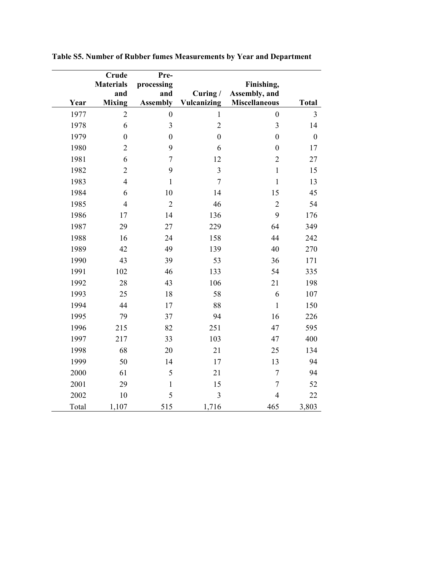|       | <b>Crude</b><br><b>Materials</b><br>and | Pre-<br>processing<br>and | Curing/          | Finishing,<br>Assembly, and |                  |
|-------|-----------------------------------------|---------------------------|------------------|-----------------------------|------------------|
| Year  | <b>Mixing</b>                           | <b>Assembly</b>           | Vulcanizing      | <b>Miscellaneous</b>        | <b>Total</b>     |
| 1977  | $\overline{2}$                          | $\mathbf{0}$              | $\mathbf{1}$     | $\mathbf{0}$                | 3                |
| 1978  | 6                                       | 3                         | $\overline{2}$   | $\overline{\mathbf{3}}$     | 14               |
| 1979  | $\boldsymbol{0}$                        | $\boldsymbol{0}$          | $\boldsymbol{0}$ | $\mathbf{0}$                | $\boldsymbol{0}$ |
| 1980  | $\overline{2}$                          | 9                         | 6                | $\mathbf{0}$                | 17               |
| 1981  | 6                                       | $\overline{7}$            | 12               | $\overline{2}$              | 27               |
| 1982  | $\overline{2}$                          | 9                         | 3                | $\mathbf{1}$                | 15               |
| 1983  | $\overline{4}$                          | $\mathbf{1}$              | $\overline{7}$   | $\mathbf{1}$                | 13               |
| 1984  | 6                                       | 10                        | 14               | 15                          | 45               |
| 1985  | $\overline{4}$                          | $\overline{2}$            | 46               | $\overline{2}$              | 54               |
| 1986  | 17                                      | 14                        | 136              | 9                           | 176              |
| 1987  | 29                                      | 27                        | 229              | 64                          | 349              |
| 1988  | 16                                      | 24                        | 158              | 44                          | 242              |
| 1989  | 42                                      | 49                        | 139              | 40                          | 270              |
| 1990  | 43                                      | 39                        | 53               | 36                          | 171              |
| 1991  | 102                                     | 46                        | 133              | 54                          | 335              |
| 1992  | 28                                      | 43                        | 106              | 21                          | 198              |
| 1993  | 25                                      | 18                        | 58               | 6                           | 107              |
| 1994  | 44                                      | 17                        | 88               | $\mathbf{1}$                | 150              |
| 1995  | 79                                      | 37                        | 94               | 16                          | 226              |
| 1996  | 215                                     | 82                        | 251              | 47                          | 595              |
| 1997  | 217                                     | 33                        | 103              | 47                          | 400              |
| 1998  | 68                                      | 20                        | 21               | 25                          | 134              |
| 1999  | 50                                      | 14                        | 17               | 13                          | 94               |
| 2000  | 61                                      | 5                         | 21               | $\overline{7}$              | 94               |
| 2001  | 29                                      | $\mathbf{1}$              | 15               | $\overline{7}$              | 52               |
| 2002  | 10                                      | 5                         | 3                | $\overline{4}$              | 22               |
| Total | 1,107                                   | 515                       | 1,716            | 465                         | 3,803            |

**Table S5. Number of Rubber fumes Measurements by Year and Department**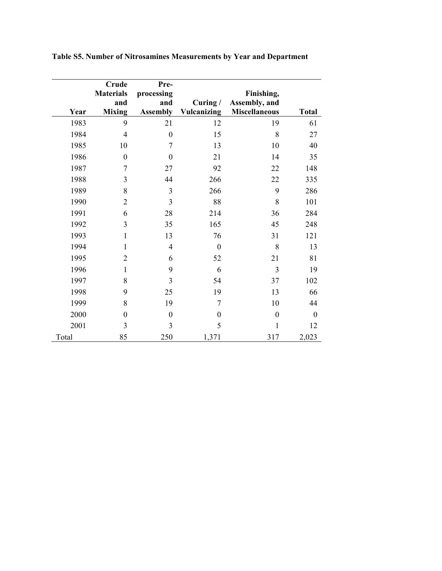|       | Crude<br><b>Materials</b><br>and | Pre-<br>processing<br>and | Curing $/$  | Finishing,<br>Assembly, and |                  |
|-------|----------------------------------|---------------------------|-------------|-----------------------------|------------------|
| Year  | <b>Mixing</b>                    | <b>Assembly</b>           | Vulcanizing | <b>Miscellaneous</b>        | <b>Total</b>     |
| 1983  | 9                                | 21                        | 12          | 19                          | 61               |
| 1984  | $\overline{4}$                   | $\boldsymbol{0}$          | 15          | 8                           | 27               |
| 1985  | 10                               | 7                         | 13          | 10                          | 40               |
| 1986  | $\boldsymbol{0}$                 | $\boldsymbol{0}$          | 21          | 14                          | 35               |
| 1987  | 7                                | 27                        | 92          | 22                          | 148              |
| 1988  | 3                                | 44                        | 266         | 22                          | 335              |
| 1989  | 8                                | 3                         | 266         | 9                           | 286              |
| 1990  | $\overline{2}$                   | 3                         | 88          | 8                           | 101              |
| 1991  | 6                                | 28                        | 214         | 36                          | 284              |
| 1992  | $\overline{3}$                   | 35                        | 165         | 45                          | 248              |
| 1993  | $\mathbf{1}$                     | 13                        | 76          | 31                          | 121              |
| 1994  | $\mathbf{1}$                     | 4                         | $\theta$    | 8                           | 13               |
| 1995  | $\overline{2}$                   | 6                         | 52          | 21                          | 81               |
| 1996  | $\mathbf{1}$                     | 9                         | 6           | $\overline{3}$              | 19               |
| 1997  | 8                                | 3                         | 54          | 37                          | 102              |
| 1998  | 9                                | 25                        | 19          | 13                          | 66               |
| 1999  | 8                                | 19                        | 7           | 10                          | 44               |
| 2000  | $\boldsymbol{0}$                 | $\boldsymbol{0}$          | $\theta$    | $\boldsymbol{0}$            | $\boldsymbol{0}$ |
| 2001  | 3                                | 3                         | 5           | $\mathbf{1}$                | 12               |
| Total | 85                               | 250                       | 1,371       | 317                         | 2,023            |

## **Table S5. Number of Nitrosamines Measurements by Year and Department**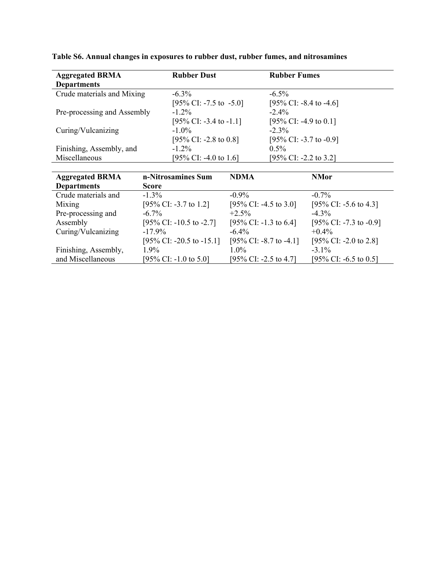| <b>Aggregated BRMA</b>      | <b>Rubber Dust</b>        |                         | <b>Rubber Fumes</b>     |
|-----------------------------|---------------------------|-------------------------|-------------------------|
| <b>Departments</b>          |                           |                         |                         |
| Crude materials and Mixing  | $-6.3\%$                  | $-6.5\%$                |                         |
|                             | [95\% CI: -7.5 to -5.0]   |                         | [95\% CI: -8.4 to -4.6] |
| Pre-processing and Assembly | $-1.2\%$                  | $-2.4\%$                |                         |
|                             | [95\% CI: -3.4 to -1.1]   |                         | [95% CI: -4.9 to 0.1]   |
| Curing/Vulcanizing          | $-1.0\%$                  | $-2.3\%$                |                         |
|                             | [95\% CI: -2.8 to 0.8]    |                         | [95% CI: -3.7 to -0.9]  |
| Finishing, Assembly, and    | $-1.2\%$                  | $0.5\%$                 |                         |
| Miscellaneous               | [95% CI: -4.0 to 1.6]     |                         | [95% CI: -2.2 to 3.2]   |
|                             |                           |                         |                         |
| <b>Aggregated BRMA</b>      | n-Nitrosamines Sum        | <b>NDMA</b>             | <b>NMor</b>             |
| <b>Departments</b>          | <b>Score</b>              |                         |                         |
| Crude materials and         | $-1.3\%$                  | $-0.9\%$                | $-0.7\%$                |
| Mixing                      | [95% CI: -3.7 to 1.2]     | [95\% CI: -4.5 to 3.0]  | [95\% CI: -5.6 to 4.3]  |
| Pre-processing and          | $-6.7\%$                  | $+2.5\%$                | $-4.3\%$                |
| Assembly                    | [95\% CI: -10.5 to -2.7]  | [95\% CI: -1.3 to 6.4]  | [95\% CI: -7.3 to -0.9] |
| Curing/Vulcanizing          | $-17.9\%$                 | $-6.4\%$                | $+0.4\%$                |
|                             | [95\% CI: -20.5 to -15.1] | [95\% CI: -8.7 to -4.1] | [95\% CI: -2.0 to 2.8]  |
| Finishing, Assembly,        | $1.9\%$                   | $1.0\%$                 | $-3.1\%$                |
| and Miscellaneous           | [95% CI: -1.0 to 5.0]     | [95% CI: -2.5 to 4.7]   | [95% CI: -6.5 to 0.5]   |

**Table S6. Annual changes in exposures to rubber dust, rubber fumes, and nitrosamines**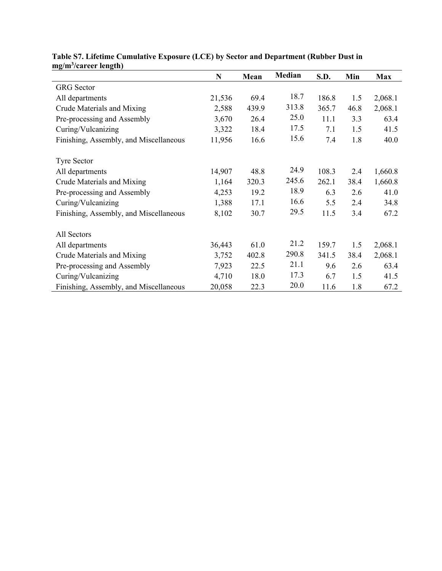| шg/ш /сагест киgиг)                    | N      | Mean  | <b>Median</b> | S.D.  | Min  | <b>Max</b> |
|----------------------------------------|--------|-------|---------------|-------|------|------------|
| <b>GRG</b> Sector                      |        |       |               |       |      |            |
| All departments                        | 21,536 | 69.4  | 18.7          | 186.8 | 1.5  | 2,068.1    |
| Crude Materials and Mixing             | 2,588  | 439.9 | 313.8         | 365.7 | 46.8 | 2,068.1    |
| Pre-processing and Assembly            | 3,670  | 26.4  | 25.0          | 11.1  | 3.3  | 63.4       |
| Curing/Vulcanizing                     | 3,322  | 18.4  | 17.5          | 7.1   | 1.5  | 41.5       |
| Finishing, Assembly, and Miscellaneous | 11,956 | 16.6  | 15.6          | 7.4   | 1.8  | 40.0       |
| <b>Tyre Sector</b>                     |        |       |               |       |      |            |
| All departments                        | 14,907 | 48.8  | 24.9          | 108.3 | 2.4  | 1,660.8    |
| Crude Materials and Mixing             | 1,164  | 320.3 | 245.6         | 262.1 | 38.4 | 1,660.8    |
| Pre-processing and Assembly            | 4,253  | 19.2  | 18.9          | 6.3   | 2.6  | 41.0       |
| Curing/Vulcanizing                     | 1,388  | 17.1  | 16.6          | 5.5   | 2.4  | 34.8       |
| Finishing, Assembly, and Miscellaneous | 8,102  | 30.7  | 29.5          | 11.5  | 3.4  | 67.2       |
| All Sectors                            |        |       |               |       |      |            |
| All departments                        | 36,443 | 61.0  | 21.2          | 159.7 | 1.5  | 2,068.1    |
| Crude Materials and Mixing             | 3,752  | 402.8 | 290.8         | 341.5 | 38.4 | 2,068.1    |
| Pre-processing and Assembly            | 7,923  | 22.5  | 21.1          | 9.6   | 2.6  | 63.4       |
| Curing/Vulcanizing                     | 4,710  | 18.0  | 17.3          | 6.7   | 1.5  | 41.5       |
| Finishing, Assembly, and Miscellaneous | 20,058 | 22.3  | 20.0          | 11.6  | 1.8  | 67.2       |

## **Table S7. Lifetime Cumulative Exposure (LCE) by Sector and Department (Rubber Dust in mg/m3 /career length)**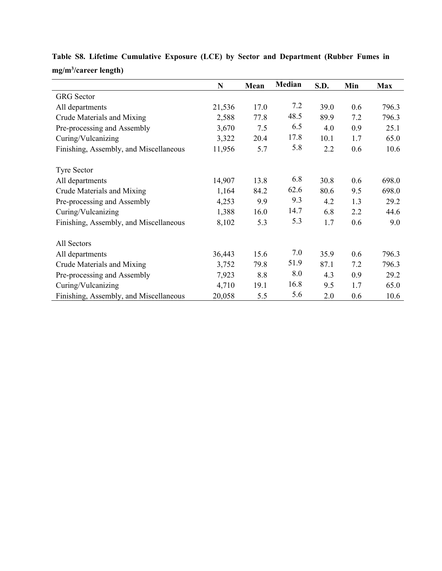|                                        | $\mathbf N$ | Mean | Median | S.D. | Min | <b>Max</b> |
|----------------------------------------|-------------|------|--------|------|-----|------------|
| <b>GRG</b> Sector                      |             |      |        |      |     |            |
| All departments                        | 21,536      | 17.0 | 7.2    | 39.0 | 0.6 | 796.3      |
| Crude Materials and Mixing             | 2,588       | 77.8 | 48.5   | 89.9 | 7.2 | 796.3      |
| Pre-processing and Assembly            | 3,670       | 7.5  | 6.5    | 4.0  | 0.9 | 25.1       |
| Curing/Vulcanizing                     | 3,322       | 20.4 | 17.8   | 10.1 | 1.7 | 65.0       |
| Finishing, Assembly, and Miscellaneous | 11,956      | 5.7  | 5.8    | 2.2  | 0.6 | 10.6       |
| <b>Tyre Sector</b>                     |             |      |        |      |     |            |
| All departments                        | 14,907      | 13.8 | 6.8    | 30.8 | 0.6 | 698.0      |
| Crude Materials and Mixing             | 1,164       | 84.2 | 62.6   | 80.6 | 9.5 | 698.0      |
| Pre-processing and Assembly            | 4,253       | 9.9  | 9.3    | 4.2  | 1.3 | 29.2       |
| Curing/Vulcanizing                     | 1,388       | 16.0 | 14.7   | 6.8  | 2.2 | 44.6       |
| Finishing, Assembly, and Miscellaneous | 8,102       | 5.3  | 5.3    | 1.7  | 0.6 | 9.0        |
| All Sectors                            |             |      |        |      |     |            |
| All departments                        | 36,443      | 15.6 | 7.0    | 35.9 | 0.6 | 796.3      |
| Crude Materials and Mixing             | 3,752       | 79.8 | 51.9   | 87.1 | 7.2 | 796.3      |
| Pre-processing and Assembly            | 7,923       | 8.8  | 8.0    | 4.3  | 0.9 | 29.2       |
| Curing/Vulcanizing                     | 4,710       | 19.1 | 16.8   | 9.5  | 1.7 | 65.0       |
| Finishing, Assembly, and Miscellaneous | 20,058      | 5.5  | 5.6    | 2.0  | 0.6 | 10.6       |

**Table S8. Lifetime Cumulative Exposure (LCE) by Sector and Department (Rubber Fumes in mg/m3 /career length)**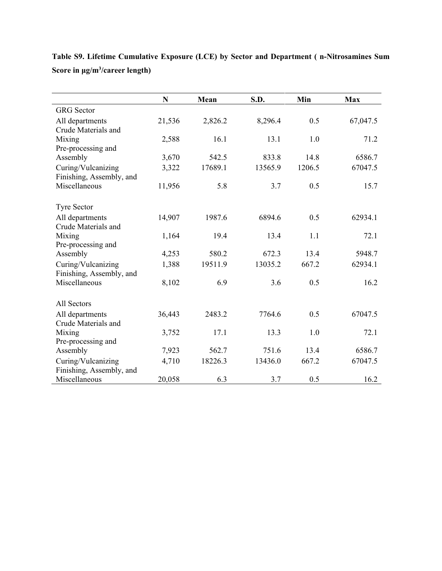|                          | $\mathbf N$ | Mean    | S.D.    | Min    | <b>Max</b> |
|--------------------------|-------------|---------|---------|--------|------------|
| <b>GRG</b> Sector        |             |         |         |        |            |
| All departments          | 21,536      | 2,826.2 | 8,296.4 | 0.5    | 67,047.5   |
| Crude Materials and      |             |         |         |        |            |
| Mixing                   | 2,588       | 16.1    | 13.1    | 1.0    | 71.2       |
| Pre-processing and       |             |         |         |        |            |
| Assembly                 | 3,670       | 542.5   | 833.8   | 14.8   | 6586.7     |
| Curing/Vulcanizing       | 3,322       | 17689.1 | 13565.9 | 1206.5 | 67047.5    |
| Finishing, Assembly, and |             |         |         |        |            |
| Miscellaneous            | 11,956      | 5.8     | 3.7     | 0.5    | 15.7       |
| <b>Tyre Sector</b>       |             |         |         |        |            |
| All departments          | 14,907      | 1987.6  | 6894.6  | 0.5    | 62934.1    |
| Crude Materials and      |             |         |         |        |            |
| Mixing                   | 1,164       | 19.4    | 13.4    | 1.1    | 72.1       |
| Pre-processing and       |             |         |         |        |            |
| Assembly                 | 4,253       | 580.2   | 672.3   | 13.4   | 5948.7     |
| Curing/Vulcanizing       | 1,388       | 19511.9 | 13035.2 | 667.2  | 62934.1    |
| Finishing, Assembly, and |             |         |         |        |            |
| Miscellaneous            | 8,102       | 6.9     | 3.6     | 0.5    | 16.2       |
| All Sectors              |             |         |         |        |            |
| All departments          | 36,443      | 2483.2  | 7764.6  | 0.5    | 67047.5    |
| Crude Materials and      |             |         |         |        |            |
| Mixing                   | 3,752       | 17.1    | 13.3    | 1.0    | 72.1       |
| Pre-processing and       |             |         |         |        |            |
| Assembly                 | 7,923       | 562.7   | 751.6   | 13.4   | 6586.7     |
| Curing/Vulcanizing       | 4,710       | 18226.3 | 13436.0 | 667.2  | 67047.5    |
| Finishing, Assembly, and |             |         |         |        |            |
| Miscellaneous            | 20,058      | 6.3     | 3.7     | 0.5    | 16.2       |

**Table S9. Lifetime Cumulative Exposure (LCE) by Sector and Department ( n-Nitrosamines Sum Score in μg/m3 /career length)**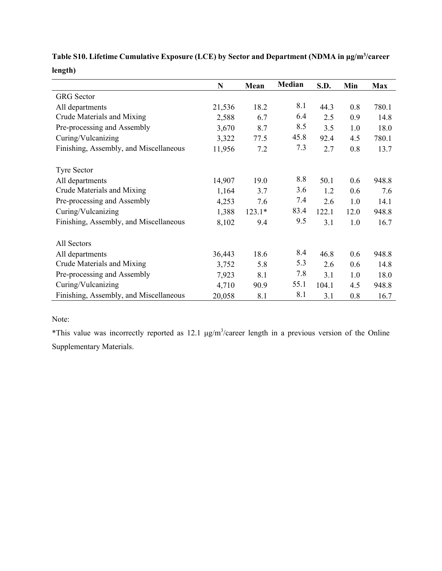|                                        | N      | Mean     | <b>Median</b> | S.D.  | Min  | <b>Max</b> |
|----------------------------------------|--------|----------|---------------|-------|------|------------|
| <b>GRG</b> Sector                      |        |          |               |       |      |            |
| All departments                        | 21,536 | 18.2     | 8.1           | 44.3  | 0.8  | 780.1      |
| Crude Materials and Mixing             | 2,588  | 6.7      | 6.4           | 2.5   | 0.9  | 14.8       |
| Pre-processing and Assembly            | 3,670  | 8.7      | 8.5           | 3.5   | 1.0  | 18.0       |
| Curing/Vulcanizing                     | 3,322  | 77.5     | 45.8          | 92.4  | 4.5  | 780.1      |
| Finishing, Assembly, and Miscellaneous | 11,956 | 7.2      | 7.3           | 2.7   | 0.8  | 13.7       |
| <b>Tyre Sector</b>                     |        |          |               |       |      |            |
| All departments                        | 14,907 | 19.0     | 8.8           | 50.1  | 0.6  | 948.8      |
| Crude Materials and Mixing             | 1,164  | 3.7      | 3.6           | 1.2   | 0.6  | 7.6        |
| Pre-processing and Assembly            | 4,253  | 7.6      | 7.4           | 2.6   | 1.0  | 14.1       |
| Curing/Vulcanizing                     | 1,388  | $123.1*$ | 83.4          | 122.1 | 12.0 | 948.8      |
| Finishing, Assembly, and Miscellaneous | 8,102  | 9.4      | 9.5           | 3.1   | 1.0  | 16.7       |
| All Sectors                            |        |          |               |       |      |            |
| All departments                        | 36,443 | 18.6     | 8.4           | 46.8  | 0.6  | 948.8      |
| Crude Materials and Mixing             | 3,752  | 5.8      | 5.3           | 2.6   | 0.6  | 14.8       |
| Pre-processing and Assembly            | 7,923  | 8.1      | 7.8           | 3.1   | 1.0  | 18.0       |
| Curing/Vulcanizing                     | 4,710  | 90.9     | 55.1          | 104.1 | 4.5  | 948.8      |
| Finishing, Assembly, and Miscellaneous | 20,058 | 8.1      | 8.1           | 3.1   | 0.8  | 16.7       |

**Table S10. Lifetime Cumulative Exposure (LCE) by Sector and Department (NDMA in μg/m3 /career length)**

## Note:

\*This value was incorrectly reported as 12.1  $\mu$ g/m<sup>3</sup>/career length in a previous version of the Online Supplementary Materials.